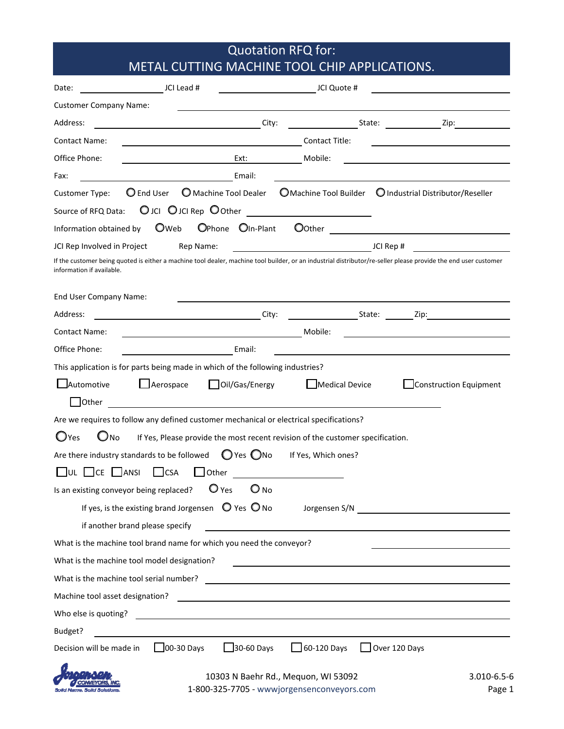## Quotation RFQ for: METAL CUTTING MACHINE TOOL CHIP APPLICATIONS.

| JCI Lead #<br>Date:                                                                                                                                                                          | JCI Quote #                                                                                                                                                                                                                    |                        |
|----------------------------------------------------------------------------------------------------------------------------------------------------------------------------------------------|--------------------------------------------------------------------------------------------------------------------------------------------------------------------------------------------------------------------------------|------------------------|
| <b>Customer Company Name:</b>                                                                                                                                                                |                                                                                                                                                                                                                                |                        |
| Address:                                                                                                                                                                                     | City:<br>State: Zip:                                                                                                                                                                                                           |                        |
| <b>Contact Name:</b><br><u> 1989 - Johann Barnett, fransk politiker (</u>                                                                                                                    | Contact Title:                                                                                                                                                                                                                 |                        |
| Office Phone:<br>Ext:                                                                                                                                                                        | Mobile:                                                                                                                                                                                                                        |                        |
| Email:<br>Fax:                                                                                                                                                                               |                                                                                                                                                                                                                                |                        |
| Machine Tool Dealer<br>C End User<br>Customer Type:                                                                                                                                          | O Machine Tool Builder  O Industrial Distributor/Reseller                                                                                                                                                                      |                        |
| OJCI OJCI Rep O0ther ________________________<br>Source of RFQ Data:                                                                                                                         |                                                                                                                                                                                                                                |                        |
| Oweb<br>OPhone OIn-Plant<br>Information obtained by                                                                                                                                          | Oother                                                                                                                                                                                                                         |                        |
| JCI Rep Involved in Project<br>Rep Name:                                                                                                                                                     | JCI Rep #                                                                                                                                                                                                                      |                        |
| If the customer being quoted is either a machine tool dealer, machine tool builder, or an industrial distributor/re-seller please provide the end user customer<br>information if available. |                                                                                                                                                                                                                                |                        |
| End User Company Name:                                                                                                                                                                       |                                                                                                                                                                                                                                |                        |
| <u> 1989 - John Stein, amerikansk politiker (</u><br>Address:                                                                                                                                | City:<br>State: Zip: Zip:                                                                                                                                                                                                      |                        |
| <b>Contact Name:</b>                                                                                                                                                                         | Mobile:                                                                                                                                                                                                                        |                        |
| Office Phone:<br>Email:                                                                                                                                                                      |                                                                                                                                                                                                                                |                        |
| This application is for parts being made in which of the following industries?                                                                                                               |                                                                                                                                                                                                                                |                        |
| <b>J</b> Automotive<br>Aerospace<br>Oil/Gas/Energy                                                                                                                                           | Medical Device                                                                                                                                                                                                                 | Construction Equipment |
| Other                                                                                                                                                                                        |                                                                                                                                                                                                                                |                        |
| Are we requires to follow any defined customer mechanical or electrical specifications?                                                                                                      |                                                                                                                                                                                                                                |                        |
| $O$ Yes<br>Ono                                                                                                                                                                               | If Yes, Please provide the most recent revision of the customer specification.                                                                                                                                                 |                        |
| Are there industry standards to be followed $\bigcirc$ Yes $\bigcirc$ No                                                                                                                     | If Yes, Which ones?                                                                                                                                                                                                            |                        |
| $\Box$ ANSI<br>$\lfloor$ CSA<br>Other<br>CE                                                                                                                                                  |                                                                                                                                                                                                                                |                        |
| $O_{NO}$<br>Is an existing conveyor being replaced? $\bigcirc$ Yes                                                                                                                           |                                                                                                                                                                                                                                |                        |
| If yes, is the existing brand Jorgensen $\bigcirc$ Yes $\bigcirc$ No                                                                                                                         | Jorgensen S/N New York Changes and Systems and Systems and Systems and Systems and Systems and Systems and Systems and Systems and Systems and Systems and Systems and Systems and Systems and Systems and Systems and Systems |                        |
| if another brand please specify                                                                                                                                                              |                                                                                                                                                                                                                                |                        |
| What is the machine tool brand name for which you need the conveyor?                                                                                                                         |                                                                                                                                                                                                                                |                        |
| What is the machine tool model designation?                                                                                                                                                  |                                                                                                                                                                                                                                |                        |
|                                                                                                                                                                                              |                                                                                                                                                                                                                                |                        |
|                                                                                                                                                                                              |                                                                                                                                                                                                                                |                        |
| Who else is quoting?<br><u> 1989 - Johann Stein, mars an deus an deus Amerikaanse komme en de Fryske komme en oantale</u>                                                                    |                                                                                                                                                                                                                                |                        |
| Budget?                                                                                                                                                                                      |                                                                                                                                                                                                                                |                        |
| $30-60$ Days<br>$\Box$ 00-30 Days<br>Decision will be made in                                                                                                                                | $\Box$ 60-120 Days $\Box$ Over 120 Days                                                                                                                                                                                        |                        |
| $10202$ N. Rocks Rd. Mosucs WILE2002                                                                                                                                                         |                                                                                                                                                                                                                                |                        |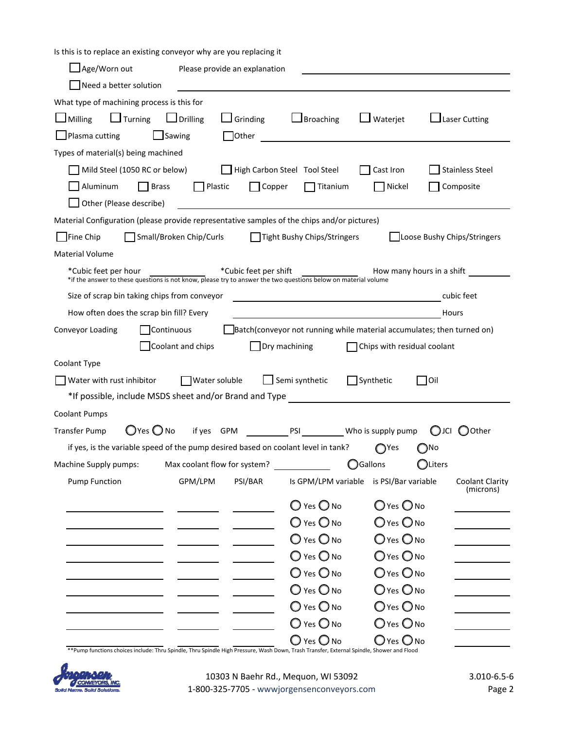Is this is to replace an existing conveyor why are you replacing it

| Need a better solution                                                                                                                                                                       |  |
|----------------------------------------------------------------------------------------------------------------------------------------------------------------------------------------------|--|
| What type of machining process is this for                                                                                                                                                   |  |
| $\Box$ Turning<br>$\Box$ Drilling<br>$\Box$ Milling<br>$\Box$ Grinding<br>$\Box$ Broaching<br>$\Box$ Laser Cutting<br>$\Box$ Waterjet                                                        |  |
| $\Box$ Sawing<br>$\Box$ Other<br>$\Box$ Plasma cutting                                                                                                                                       |  |
| Types of material(s) being machined                                                                                                                                                          |  |
| Mild Steel (1050 RC or below)<br>High Carbon Steel Tool Steel<br>Cast Iron<br><b>Stainless Steel</b>                                                                                         |  |
| Composite<br>Aluminum<br>  Brass<br>  Plastic<br>$\Box$ Copper<br>$\prod$ Titanium<br>Nickel                                                                                                 |  |
| Other (Please describe)                                                                                                                                                                      |  |
| Material Configuration (please provide representative samples of the chips and/or pictures)                                                                                                  |  |
| $\blacksquare$ Fine Chip<br>Small/Broken Chip/Curls<br>Tight Bushy Chips/Stringers<br>Loose Bushy Chips/Stringers                                                                            |  |
| <b>Material Volume</b>                                                                                                                                                                       |  |
| *Cubic feet per shift<br>How many hours in a shift<br>*Cubic feet per hour<br>*if the answer to these questions is not know, please try to answer the two questions below on material volume |  |
| Size of scrap bin taking chips from conveyor<br>cubic feet                                                                                                                                   |  |
| How often does the scrap bin fill? Every<br>Hours                                                                                                                                            |  |
| Batch(conveyor not running while material accumulates; then turned on)<br>Conveyor Loading<br>Continuous                                                                                     |  |
| Coolant and chips<br>$\Box$ Dry machining<br>$\Box$ Chips with residual coolant                                                                                                              |  |
| Coolant Type                                                                                                                                                                                 |  |
|                                                                                                                                                                                              |  |
| Semi synthetic<br>□Synthetic<br>Water with rust inhibitor<br>Water soluble<br>lOil                                                                                                           |  |
| *If possible, include MSDS sheet and/or Brand and Type                                                                                                                                       |  |
| <b>Coolant Pumps</b>                                                                                                                                                                         |  |
| $\bigcirc$ Yes $\bigcirc$ No if yes $GPM$ PSI Who is supply pump<br><b>Transfer Pump</b><br>$\bigcirc$ JCI<br>Other (                                                                        |  |
| if yes, is the variable speed of the pump desired based on coolant level in tank?<br>∩Yes<br>)No                                                                                             |  |
| Max coolant flow for system?<br><b>OGallons</b><br>$\bigcirc$ Liters<br>Machine Supply pumps:                                                                                                |  |
| GPM/LPM<br>PSI/BAR<br><b>Pump Function</b><br>Is GPM/LPM variable<br>is PSI/Bar variable<br>Coolant Clarity<br>(microns)                                                                     |  |
| $\bigcirc$ Yes $\bigcirc$ No<br>$O$ Yes $O$ No                                                                                                                                               |  |
| $\bigcirc$ Yes $\bigcirc$ No<br>$O$ Yes $O$ No                                                                                                                                               |  |
| $\bigcirc$ Yes $\bigcirc$ No<br>$O$ Yes $O$ No                                                                                                                                               |  |
| $O$ Yes $O$ No<br>$\bigcirc$ Yes $\bigcirc$ No                                                                                                                                               |  |
| O Yes O No<br>$\bigcirc$ Yes $\bigcirc$ No                                                                                                                                                   |  |
| $\bigcirc$ Yes $\bigcirc$ No<br>$\bigcirc$ Yes $\bigcirc$ No                                                                                                                                 |  |
| $\bigcirc$ Yes $\bigcirc$ No<br>$\bigcirc$ Yes $\bigcirc$ No                                                                                                                                 |  |
| $\bigcirc$ Yes $\bigcirc$ No<br>$\bigcirc$ Yes $\bigcirc$ No                                                                                                                                 |  |

\*\*Pump functions choices include: Thru Spindle, Thru Spindle High Pressure, Wash Down, Trash Transfer, External Spindle, Shower and Flood

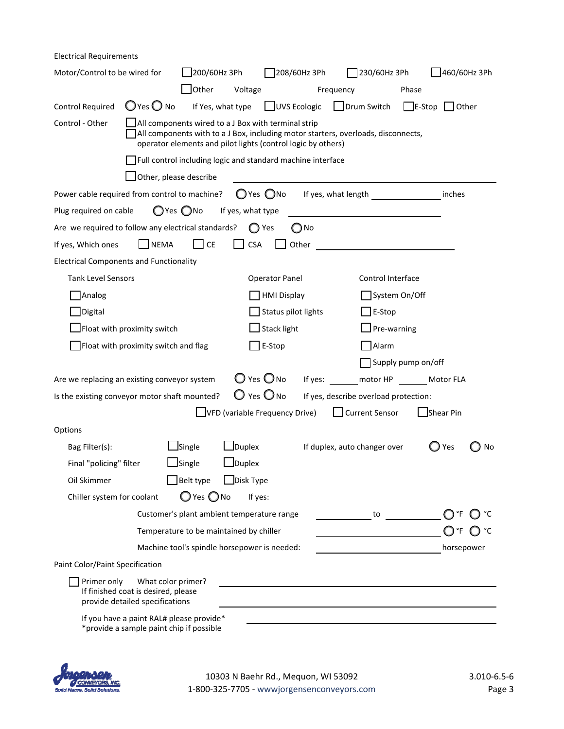| <b>Electrical Requirements</b>                                     |                                                                                              |                                                                                                                                                                                                                 |                                                  |               |                                       |                    |              |    |
|--------------------------------------------------------------------|----------------------------------------------------------------------------------------------|-----------------------------------------------------------------------------------------------------------------------------------------------------------------------------------------------------------------|--------------------------------------------------|---------------|---------------------------------------|--------------------|--------------|----|
| Motor/Control to be wired for                                      |                                                                                              | J200/60Hz 3Ph                                                                                                                                                                                                   |                                                  | 208/60Hz 3Ph  | $\Box$ 230/60Hz 3Ph                   |                    | 460/60Hz 3Ph |    |
|                                                                    |                                                                                              | Other                                                                                                                                                                                                           | Voltage                                          |               | Frequency Phase                       |                    |              |    |
| <b>Control Required</b>                                            | $\bigcirc$ Yes $\bigcirc$ No                                                                 | If Yes, what type                                                                                                                                                                                               | UVS Ecologic                                     |               | Drum Switch                           | $\Box$ E-Stop      | Other        |    |
| Control - Other                                                    |                                                                                              | $\Box$ All components wired to a J Box with terminal strip<br>All components with to a J Box, including motor starters, overloads, disconnects,<br>operator elements and pilot lights (control logic by others) |                                                  |               |                                       |                    |              |    |
|                                                                    |                                                                                              | Full control including logic and standard machine interface                                                                                                                                                     |                                                  |               |                                       |                    |              |    |
|                                                                    | Other, please describe                                                                       |                                                                                                                                                                                                                 |                                                  |               |                                       |                    |              |    |
| Power cable required from control to machine?                      |                                                                                              |                                                                                                                                                                                                                 | $\bigcirc$ Yes $\bigcirc$ No If yes, what length |               |                                       |                    | inches       |    |
| Plug required on cable                                             |                                                                                              | $O$ Yes $O$ No                                                                                                                                                                                                  | If yes, what type                                |               |                                       |                    |              |    |
| Are we required to follow any electrical standards? $\bigcirc$ Yes |                                                                                              |                                                                                                                                                                                                                 |                                                  | $\bigcirc$ No |                                       |                    |              |    |
| If yes, Which ones                                                 | $\Box$ NEMA                                                                                  | $\Box$ CE                                                                                                                                                                                                       | <b>CSA</b>                                       | Other         |                                       |                    |              |    |
| <b>Electrical Components and Functionality</b>                     |                                                                                              |                                                                                                                                                                                                                 |                                                  |               |                                       |                    |              |    |
| <b>Tank Level Sensors</b>                                          |                                                                                              |                                                                                                                                                                                                                 | Operator Panel                                   |               | Control Interface                     |                    |              |    |
| Analog                                                             |                                                                                              |                                                                                                                                                                                                                 | <b>HMI Display</b>                               |               |                                       | System On/Off      |              |    |
| Digital                                                            |                                                                                              |                                                                                                                                                                                                                 | Status pilot lights                              |               | $\Box$ E-Stop                         |                    |              |    |
|                                                                    | Float with proximity switch                                                                  |                                                                                                                                                                                                                 | $\mathsf{\mathsf{I}}$ Stack light                |               | $\Box$ Pre-warning                    |                    |              |    |
|                                                                    | Float with proximity switch and flag                                                         |                                                                                                                                                                                                                 | $]$ E-Stop                                       |               | Alarm                                 |                    |              |    |
|                                                                    |                                                                                              |                                                                                                                                                                                                                 |                                                  |               |                                       | Supply pump on/off |              |    |
| Are we replacing an existing conveyor system                       |                                                                                              |                                                                                                                                                                                                                 | $\bigcirc$ Yes $\bigcirc$ No                     |               | If yes: motor HP Motor FLA            |                    |              |    |
| Is the existing conveyor motor shaft mounted?                      |                                                                                              |                                                                                                                                                                                                                 | $\bigcirc$ Yes $\bigcirc$ No                     |               | If yes, describe overload protection: |                    |              |    |
|                                                                    |                                                                                              |                                                                                                                                                                                                                 | VFD (variable Frequency Drive)                   |               | Current Sensor                        |                    | Shear Pin    |    |
| Options                                                            |                                                                                              |                                                                                                                                                                                                                 |                                                  |               |                                       |                    |              |    |
| Bag Filter(s):                                                     |                                                                                              | $\Box$ Single                                                                                                                                                                                                   | $\Box$ Duplex                                    |               | If duplex, auto changer over          |                    | Yes          | No |
| Final "policing" filter                                            |                                                                                              | $\Box$ Single                                                                                                                                                                                                   | $\Box$ Duplex                                    |               |                                       |                    |              |    |
| Oil Skimmer                                                        |                                                                                              | Belt type                                                                                                                                                                                                       | $\Box$ Disk Type                                 |               |                                       |                    |              |    |
| Chiller system for coolant                                         |                                                                                              | $\bigcirc$ Yes $\bigcirc$ No                                                                                                                                                                                    | If yes:                                          |               |                                       |                    |              |    |
|                                                                    |                                                                                              | Customer's plant ambient temperature range                                                                                                                                                                      |                                                  |               | to                                    |                    |              |    |
|                                                                    |                                                                                              | Temperature to be maintained by chiller                                                                                                                                                                         |                                                  |               |                                       |                    | ∩°F          |    |
|                                                                    |                                                                                              | Machine tool's spindle horsepower is needed:                                                                                                                                                                    |                                                  |               |                                       |                    | horsepower   |    |
| Paint Color/Paint Specification                                    |                                                                                              |                                                                                                                                                                                                                 |                                                  |               |                                       |                    |              |    |
| Primer only                                                        | What color primer?<br>If finished coat is desired, please<br>provide detailed specifications |                                                                                                                                                                                                                 |                                                  |               |                                       |                    |              |    |
|                                                                    | If you have a paint RAL# please provide*<br>*provide a sample paint chip if possible         |                                                                                                                                                                                                                 |                                                  |               |                                       |                    |              |    |